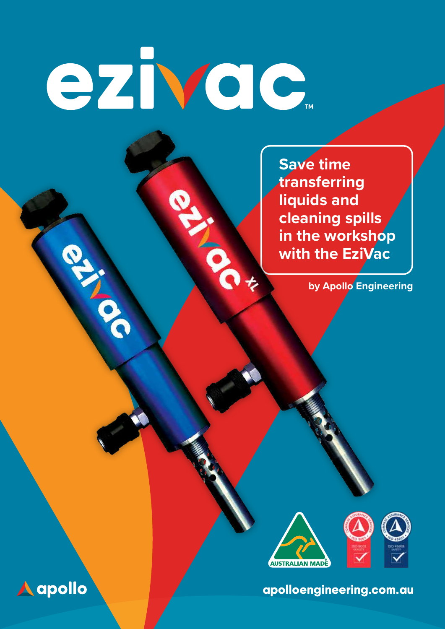# ezivac.

NO.

**Save time transferring liquids and cleaning spills in the workshop with the EziVac** 

**by Apollo Engineering**



apolloengineering.com.au



**PALLA**